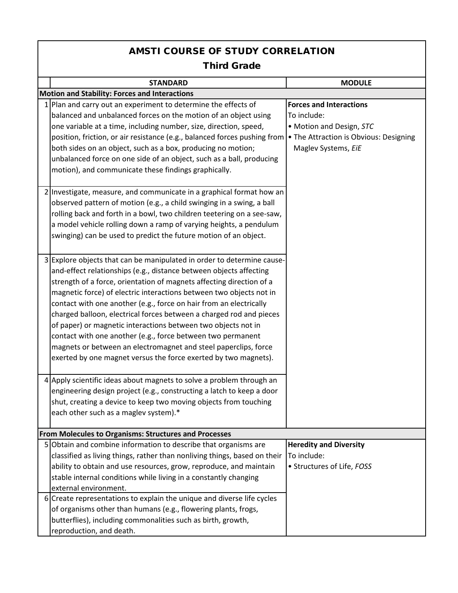## AMSTI COURSE OF STUDY CORRELATION Third Grade

|   | <b>STANDARD</b>                                                                                                        | <b>MODULE</b>                  |  |  |  |
|---|------------------------------------------------------------------------------------------------------------------------|--------------------------------|--|--|--|
|   | <b>Motion and Stability: Forces and Interactions</b>                                                                   |                                |  |  |  |
|   | 1 Plan and carry out an experiment to determine the effects of                                                         | <b>Forces and Interactions</b> |  |  |  |
|   | balanced and unbalanced forces on the motion of an object using                                                        | To include:                    |  |  |  |
|   | one variable at a time, including number, size, direction, speed,                                                      | • Motion and Design, STC       |  |  |  |
|   | position, friction, or air resistance (e.g., balanced forces pushing from • The Attraction is Obvious: Designing       |                                |  |  |  |
|   | both sides on an object, such as a box, producing no motion;                                                           | Maglev Systems, EiE            |  |  |  |
|   | unbalanced force on one side of an object, such as a ball, producing                                                   |                                |  |  |  |
|   | motion), and communicate these findings graphically.                                                                   |                                |  |  |  |
|   |                                                                                                                        |                                |  |  |  |
|   | 2 Investigate, measure, and communicate in a graphical format how an                                                   |                                |  |  |  |
|   | observed pattern of motion (e.g., a child swinging in a swing, a ball                                                  |                                |  |  |  |
|   | rolling back and forth in a bowl, two children teetering on a see-saw,                                                 |                                |  |  |  |
|   | a model vehicle rolling down a ramp of varying heights, a pendulum                                                     |                                |  |  |  |
|   | swinging) can be used to predict the future motion of an object.                                                       |                                |  |  |  |
|   |                                                                                                                        |                                |  |  |  |
|   | 3 Explore objects that can be manipulated in order to determine cause-                                                 |                                |  |  |  |
|   | and-effect relationships (e.g., distance between objects affecting                                                     |                                |  |  |  |
|   | strength of a force, orientation of magnets affecting direction of a                                                   |                                |  |  |  |
|   |                                                                                                                        |                                |  |  |  |
|   | magnetic force) of electric interactions between two objects not in                                                    |                                |  |  |  |
|   | contact with one another (e.g., force on hair from an electrically                                                     |                                |  |  |  |
|   | charged balloon, electrical forces between a charged rod and pieces                                                    |                                |  |  |  |
|   | of paper) or magnetic interactions between two objects not in                                                          |                                |  |  |  |
|   | contact with one another (e.g., force between two permanent                                                            |                                |  |  |  |
|   | magnets or between an electromagnet and steel paperclips, force                                                        |                                |  |  |  |
|   | exerted by one magnet versus the force exerted by two magnets).                                                        |                                |  |  |  |
|   |                                                                                                                        |                                |  |  |  |
|   | 4 Apply scientific ideas about magnets to solve a problem through an                                                   |                                |  |  |  |
|   | engineering design project (e.g., constructing a latch to keep a door                                                  |                                |  |  |  |
|   | shut, creating a device to keep two moving objects from touching                                                       |                                |  |  |  |
|   | each other such as a maglev system).*                                                                                  |                                |  |  |  |
|   |                                                                                                                        |                                |  |  |  |
| 5 | From Molecules to Organisms: Structures and Processes<br>Obtain and combine information to describe that organisms are | <b>Heredity and Diversity</b>  |  |  |  |
|   | classified as living things, rather than nonliving things, based on their                                              | To include:                    |  |  |  |
|   |                                                                                                                        |                                |  |  |  |
|   | ability to obtain and use resources, grow, reproduce, and maintain                                                     | • Structures of Life, FOSS     |  |  |  |
|   | stable internal conditions while living in a constantly changing                                                       |                                |  |  |  |
|   | external environment.                                                                                                  |                                |  |  |  |
|   | 6 Create representations to explain the unique and diverse life cycles                                                 |                                |  |  |  |
|   | of organisms other than humans (e.g., flowering plants, frogs,                                                         |                                |  |  |  |
|   | butterflies), including commonalities such as birth, growth,                                                           |                                |  |  |  |
|   | reproduction, and death.                                                                                               |                                |  |  |  |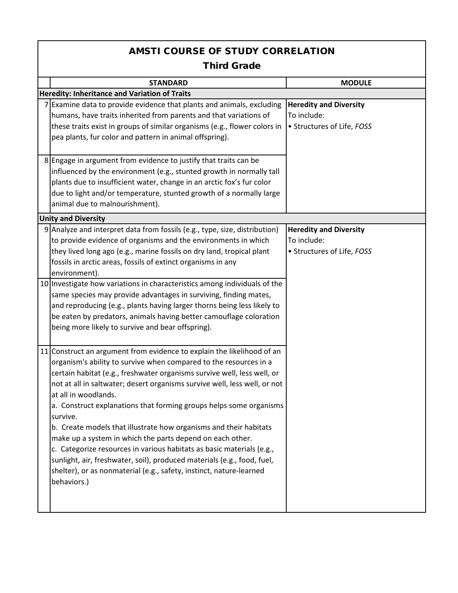## AMSTI COURSE OF STUDY CORRELATION Third Grade

| <b>STANDARD</b>                                                                                                                                                                                                                                                                                                                                                                                                                                                                                                                                                                                                                                                                                                                                                                                                                                | <b>MODULE</b>                                                              |  |  |  |
|------------------------------------------------------------------------------------------------------------------------------------------------------------------------------------------------------------------------------------------------------------------------------------------------------------------------------------------------------------------------------------------------------------------------------------------------------------------------------------------------------------------------------------------------------------------------------------------------------------------------------------------------------------------------------------------------------------------------------------------------------------------------------------------------------------------------------------------------|----------------------------------------------------------------------------|--|--|--|
| Heredity: Inheritance and Variation of Traits                                                                                                                                                                                                                                                                                                                                                                                                                                                                                                                                                                                                                                                                                                                                                                                                  |                                                                            |  |  |  |
| 7 Examine data to provide evidence that plants and animals, excluding<br>humans, have traits inherited from parents and that variations of<br>these traits exist in groups of similar organisms (e.g., flower colors in<br>pea plants, fur color and pattern in animal offspring).                                                                                                                                                                                                                                                                                                                                                                                                                                                                                                                                                             | <b>Heredity and Diversity</b><br>To include:<br>• Structures of Life, FOSS |  |  |  |
| 8 Engage in argument from evidence to justify that traits can be<br>influenced by the environment (e.g., stunted growth in normally tall<br>plants due to insufficient water, change in an arctic fox's fur color<br>due to light and/or temperature, stunted growth of a normally large<br>animal due to malnourishment).                                                                                                                                                                                                                                                                                                                                                                                                                                                                                                                     |                                                                            |  |  |  |
| <b>Unity and Diversity</b>                                                                                                                                                                                                                                                                                                                                                                                                                                                                                                                                                                                                                                                                                                                                                                                                                     |                                                                            |  |  |  |
| 9 Analyze and interpret data from fossils (e.g., type, size, distribution)<br>to provide evidence of organisms and the environments in which<br>they lived long ago (e.g., marine fossils on dry land, tropical plant<br>fossils in arctic areas, fossils of extinct organisms in any<br>environment).<br>10 Investigate how variations in characteristics among individuals of the<br>same species may provide advantages in surviving, finding mates,<br>and reproducing (e.g., plants having larger thorns being less likely to<br>be eaten by predators, animals having better camouflage coloration                                                                                                                                                                                                                                       | <b>Heredity and Diversity</b><br>To include:<br>• Structures of Life, FOSS |  |  |  |
| being more likely to survive and bear offspring).<br>11 Construct an argument from evidence to explain the likelihood of an<br>organism's ability to survive when compared to the resources in a<br>certain habitat (e.g., freshwater organisms survive well, less well, or<br>not at all in saltwater; desert organisms survive well, less well, or not<br>at all in woodlands.<br>a. Construct explanations that forming groups helps some organisms<br>survive.<br>b. Create models that illustrate how organisms and their habitats<br>make up a system in which the parts depend on each other.<br>c. Categorize resources in various habitats as basic materials (e.g.,<br>sunlight, air, freshwater, soil), produced materials (e.g., food, fuel,<br>shelter), or as nonmaterial (e.g., safety, instinct, nature-learned<br>behaviors.) |                                                                            |  |  |  |